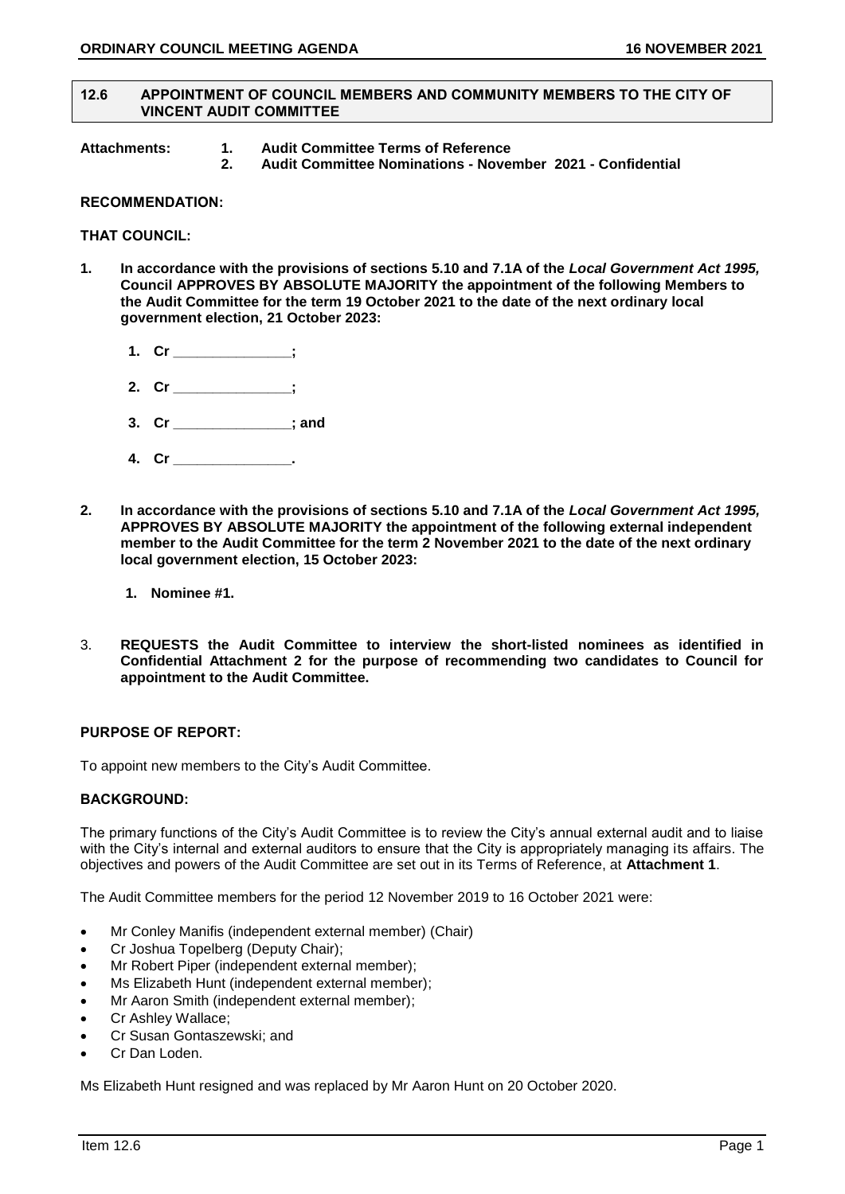### **12.6 APPOINTMENT OF COUNCIL MEMBERS AND COMMUNITY MEMBERS TO THE CITY OF VINCENT AUDIT COMMITTEE**

- **Attachments: 1. Audit Committee Terms of Reference** 
	- **2. Audit Committee Nominations - November 2021 - Confidential**

# **RECOMMENDATION:**

**THAT COUNCIL:** 

- **1. In accordance with the provisions of sections 5.10 and 7.1A of the** *Local Government Act 1995,* **Council APPROVES BY ABSOLUTE MAJORITY the appointment of the following Members to the Audit Committee for the term 19 October 2021 to the date of the next ordinary local government election, 21 October 2023:**
	- **1. Cr \_\_\_\_\_\_\_\_\_\_\_\_\_\_\_;**
	- **2. Cr \_\_\_\_\_\_\_\_\_\_\_\_\_\_\_;**
	- **3. Cr \_\_\_\_\_\_\_\_\_\_\_\_\_\_\_; and**
	- **4. Cr \_\_\_\_\_\_\_\_\_\_\_\_\_\_\_.**
- **2. In accordance with the provisions of sections 5.10 and 7.1A of the** *Local Government Act 1995,*  **APPROVES BY ABSOLUTE MAJORITY the appointment of the following external independent member to the Audit Committee for the term 2 November 2021 to the date of the next ordinary local government election, 15 October 2023:**
	- **1. Nominee #1.**
- 3. **REQUESTS the Audit Committee to interview the short-listed nominees as identified in Confidential Attachment 2 for the purpose of recommending two candidates to Council for appointment to the Audit Committee.**

# **PURPOSE OF REPORT:**

To appoint new members to the City's Audit Committee.

# **BACKGROUND:**

The primary functions of the City's Audit Committee is to review the City's annual external audit and to liaise with the City's internal and external auditors to ensure that the City is appropriately managing its affairs. The objectives and powers of the Audit Committee are set out in its Terms of Reference, at **Attachment 1**.

The Audit Committee members for the period 12 November 2019 to 16 October 2021 were:

- Mr Conley Manifis (independent external member) (Chair)
- Cr Joshua Topelberg (Deputy Chair);
- Mr Robert Piper (independent external member);
- Ms Elizabeth Hunt (independent external member);
- Mr Aaron Smith (independent external member);
- Cr Ashley Wallace;
- Cr Susan Gontaszewski; and
- Cr Dan Loden.

Ms Elizabeth Hunt resigned and was replaced by Mr Aaron Hunt on 20 October 2020.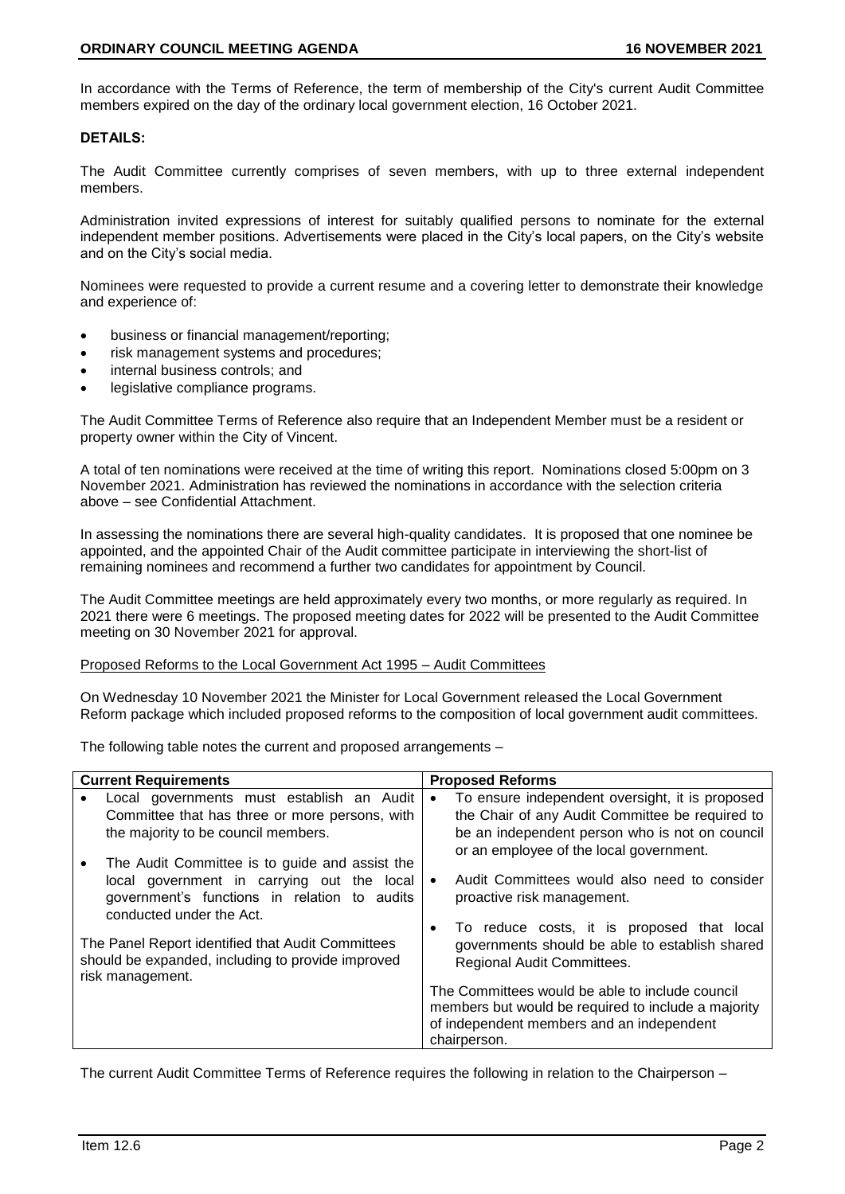In accordance with the Terms of Reference, the term of membership of the City's current Audit Committee members expired on the day of the ordinary local government election, 16 October 2021.

# **DETAILS:**

The Audit Committee currently comprises of seven members, with up to three external independent members.

Administration invited expressions of interest for suitably qualified persons to nominate for the external independent member positions. Advertisements were placed in the City's local papers, on the City's website and on the City's social media.

Nominees were requested to provide a current resume and a covering letter to demonstrate their knowledge and experience of:

- business or financial management/reporting;
- risk management systems and procedures;
- internal business controls; and
- legislative compliance programs.

The Audit Committee Terms of Reference also require that an Independent Member must be a resident or property owner within the City of Vincent.

A total of ten nominations were received at the time of writing this report. Nominations closed 5:00pm on 3 November 2021. Administration has reviewed the nominations in accordance with the selection criteria above – see Confidential Attachment.

In assessing the nominations there are several high-quality candidates. It is proposed that one nominee be appointed, and the appointed Chair of the Audit committee participate in interviewing the short-list of remaining nominees and recommend a further two candidates for appointment by Council.

The Audit Committee meetings are held approximately every two months, or more regularly as required. In 2021 there were 6 meetings. The proposed meeting dates for 2022 will be presented to the Audit Committee meeting on 30 November 2021 for approval.

# Proposed Reforms to the Local Government Act 1995 – Audit Committees

On Wednesday 10 November 2021 the Minister for Local Government released the Local Government Reform package which included proposed reforms to the composition of local government audit committees.

The following table notes the current and proposed arrangements –

| <b>Current Requirements</b>                                                                                                                                                          | <b>Proposed Reforms</b>                                                                                                                                                                                      |
|--------------------------------------------------------------------------------------------------------------------------------------------------------------------------------------|--------------------------------------------------------------------------------------------------------------------------------------------------------------------------------------------------------------|
| Local governments must establish an Audit<br>Committee that has three or more persons, with<br>the majority to be council members.<br>The Audit Committee is to guide and assist the | To ensure independent oversight, it is proposed<br>$\bullet$<br>the Chair of any Audit Committee be required to<br>be an independent person who is not on council<br>or an employee of the local government. |
| local government in carrying out the local<br>government's functions in relation to audits<br>conducted under the Act.                                                               | Audit Committees would also need to consider<br>$\bullet$<br>proactive risk management.<br>To reduce costs, it is proposed that local<br>$\bullet$                                                           |
| The Panel Report identified that Audit Committees<br>should be expanded, including to provide improved<br>risk management.                                                           | governments should be able to establish shared<br>Regional Audit Committees.                                                                                                                                 |
|                                                                                                                                                                                      | The Committees would be able to include council<br>members but would be required to include a majority<br>of independent members and an independent<br>chairperson.                                          |

The current Audit Committee Terms of Reference requires the following in relation to the Chairperson –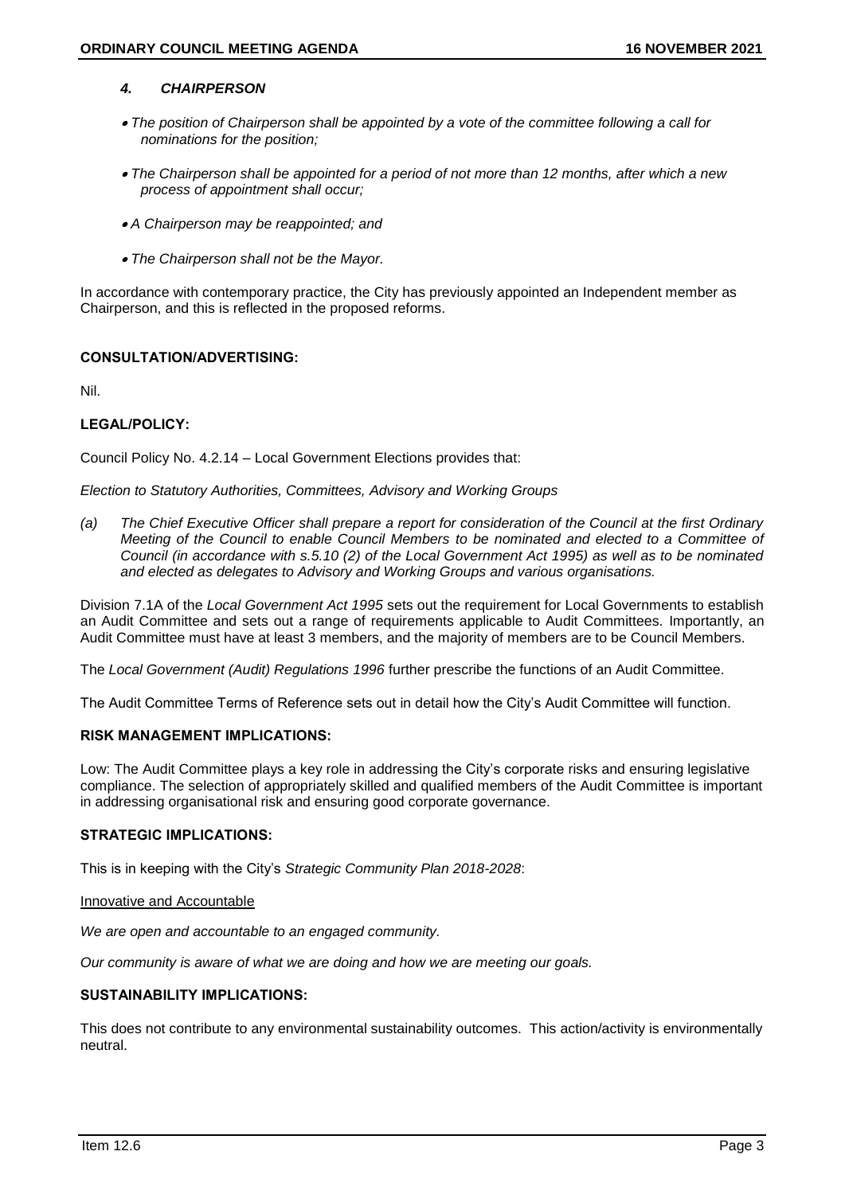# *4. CHAIRPERSON*

- *The position of Chairperson shall be appointed by a vote of the committee following a call for nominations for the position;*
- *The Chairperson shall be appointed for a period of not more than 12 months, after which a new process of appointment shall occur;*
- *A Chairperson may be reappointed; and*
- *The Chairperson shall not be the Mayor.*

In accordance with contemporary practice, the City has previously appointed an Independent member as Chairperson, and this is reflected in the proposed reforms.

# **CONSULTATION/ADVERTISING:**

Nil.

# **LEGAL/POLICY:**

Council Policy No. 4.2.14 – Local Government Elections provides that:

*Election to Statutory Authorities, Committees, Advisory and Working Groups*

*(a) The Chief Executive Officer shall prepare a report for consideration of the Council at the first Ordinary Meeting of the Council to enable Council Members to be nominated and elected to a Committee of Council (in accordance with s.5.10 (2) of the Local Government Act 1995) as well as to be nominated and elected as delegates to Advisory and Working Groups and various organisations.*

Division 7.1A of the *Local Government Act 1995* sets out the requirement for Local Governments to establish an Audit Committee and sets out a range of requirements applicable to Audit Committees. Importantly, an Audit Committee must have at least 3 members, and the majority of members are to be Council Members.

The *Local Government (Audit) Regulations 1996* further prescribe the functions of an Audit Committee.

The Audit Committee Terms of Reference sets out in detail how the City's Audit Committee will function.

# **RISK MANAGEMENT IMPLICATIONS:**

Low: The Audit Committee plays a key role in addressing the City's corporate risks and ensuring legislative compliance. The selection of appropriately skilled and qualified members of the Audit Committee is important in addressing organisational risk and ensuring good corporate governance.

# **STRATEGIC IMPLICATIONS:**

This is in keeping with the City's *Strategic Community Plan 2018-2028*:

### Innovative and Accountable

*We are open and accountable to an engaged community.*

*Our community is aware of what we are doing and how we are meeting our goals.*

# **SUSTAINABILITY IMPLICATIONS:**

This does not contribute to any environmental sustainability outcomes. This action/activity is environmentally neutral.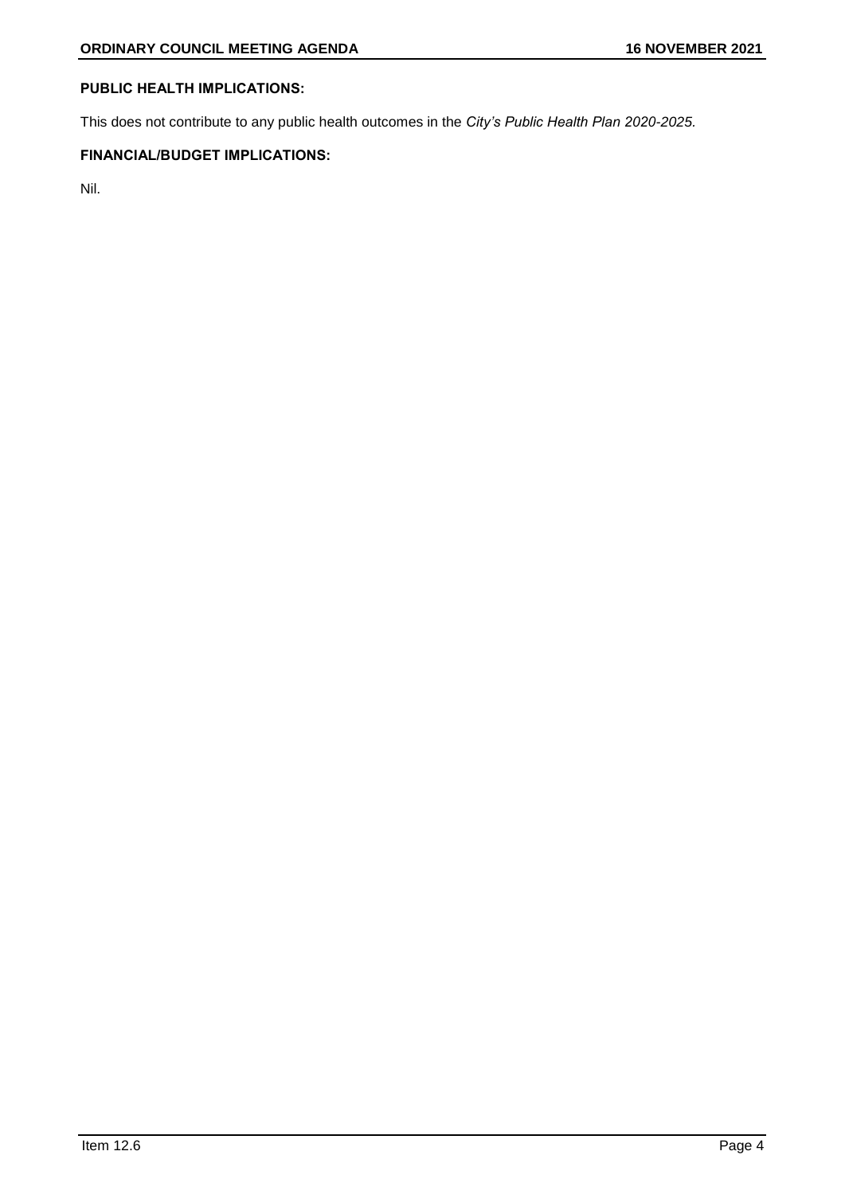# **PUBLIC HEALTH IMPLICATIONS:**

This does not contribute to any public health outcomes in the *City's Public Health Plan 2020-2025.*

# **FINANCIAL/BUDGET IMPLICATIONS:**

Nil.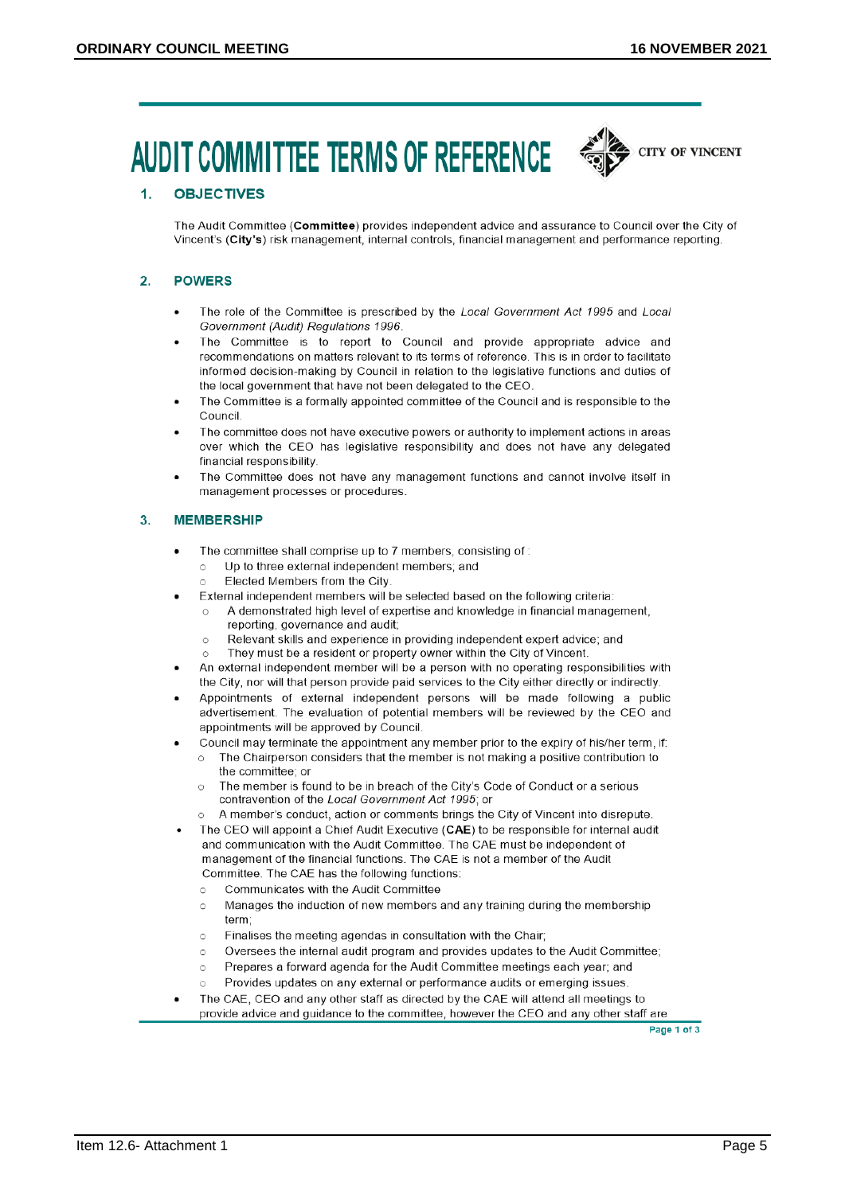# **AUDIT COMMITTEE TERMS OF REFERENCE**



### $\overline{1}$ . **OBJECTIVES**

The Audit Committee (Committee) provides independent advice and assurance to Council over the City of Vincent's (City's) risk management, internal controls, financial management and performance reporting

### **POWERS**  $2.$

- The role of the Committee is prescribed by the Local Government Act 1995 and Local Government (Audit) Regulations 1996.
- The Committee is to report to Council and provide appropriate advice and recommendations on matters relevant to its terms of reference. This is in order to facilitate informed decision-making by Council in relation to the legislative functions and duties of the local government that have not been delegated to the CEO
- The Committee is a formally appointed committee of the Council and is responsible to the Council
- The committee does not have executive powers or authority to implement actions in areas over which the CEO has legislative responsibility and does not have any delegated financial responsibility
- The Committee does not have any management functions and cannot involve itself in management processes or procedures.

### $3.$ **MEMBERSHIP**

- The committee shall comprise up to 7 members, consisting of:
	- Up to three external independent members; and  $\circ$
	- Elected Members from the City  $\circ$
- External independent members will be selected based on the following criteria:
	- A demonstrated high level of expertise and knowledge in financial management, reporting, governance and audit;
	- Relevant skills and experience in providing independent expert advice; and  $\circ$
	- They must be a resident or property owner within the City of Vincent.
- An external independent member will be a person with no operating responsibilities with the City, nor will that person provide paid services to the City either directly or indirectly.
- Appointments of external independent persons will be made following a public advertisement. The evaluation of potential members will be reviewed by the CEO and appointments will be approved by Council.
	- Council may terminate the appointment any member prior to the expiry of his/her term, if:
	- The Chairperson considers that the member is not making a positive contribution to  $\cap$ the committee; or
		- The member is found to be in breach of the City's Code of Conduct or a serious  $\circ$ contravention of the Local Government Act 1995; or
		- A member's conduct, action or comments brings the City of Vincent into disrepute.
- The CEO will appoint a Chief Audit Executive (CAE) to be responsible for internal audit and communication with the Audit Committee. The CAE must be independent of management of the financial functions. The CAE is not a member of the Audit Committee. The CAE has the following functions:
	- Communicates with the Audit Committee  $\circ$
	- Manages the induction of new members and any training during the membership  $\circ$ term:
	- $\circ$ Finalises the meeting agendas in consultation with the Chair;
	- Oversees the internal audit program and provides updates to the Audit Committee;  $\circ$
	- Prepares a forward agenda for the Audit Committee meetings each year; and  $\circ$
	- Provides updates on any external or performance audits or emerging issues.  $\circ$
- The CAE, CEO and any other staff as directed by the CAE will attend all meetings to provide advice and guidance to the committee, however the CEO and any other staff are

Page 1 of 3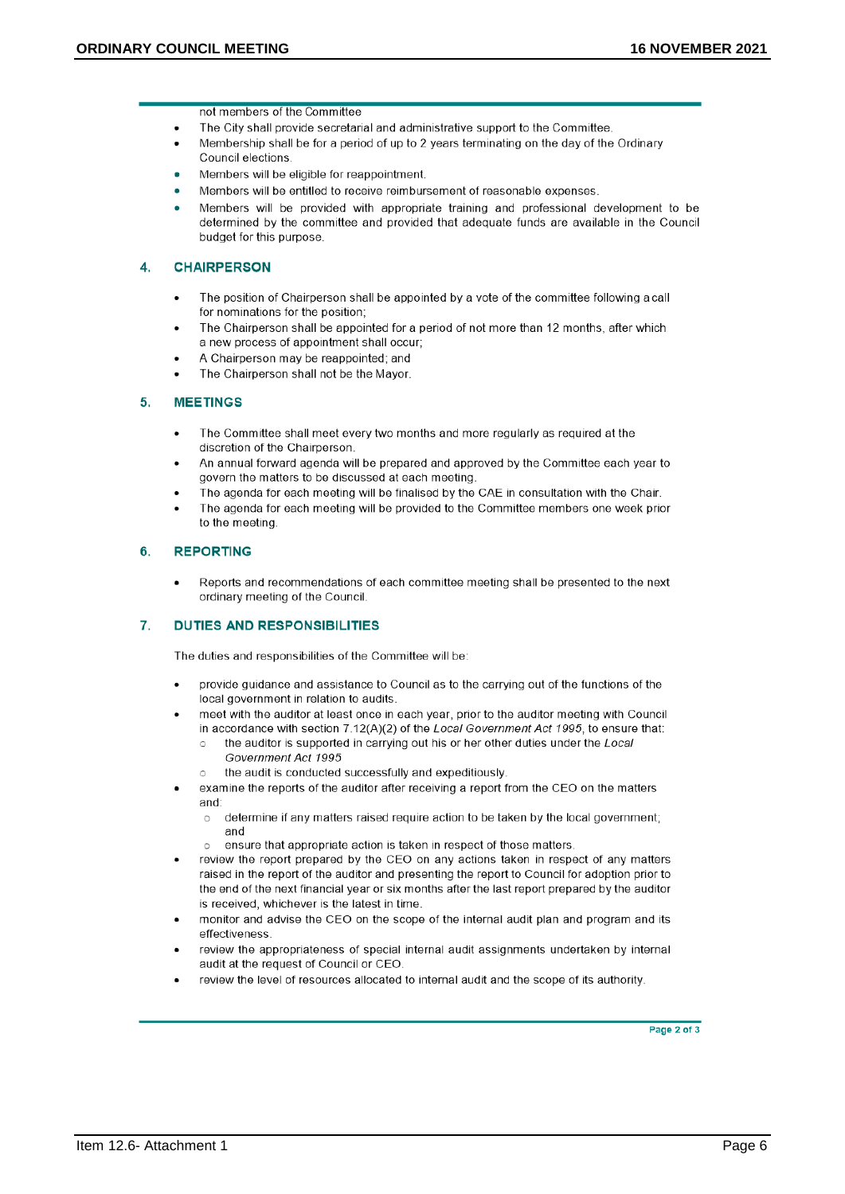not members of the Committee

- The City shall provide secretarial and administrative support to the Committee.
- Membership shall be for a period of up to 2 years terminating on the day of the Ordinary Council elections
- Members will be eligible for reappointment.
- Members will be entitled to receive reimbursement of reasonable expenses.
- Members will be provided with appropriate training and professional development to be determined by the committee and provided that adequate funds are available in the Council budget for this purpose.

### **CHAIRPERSON**  $\blacktriangle$

- The position of Chairperson shall be appointed by a vote of the committee following a call for nominations for the position;
- The Chairperson shall be appointed for a period of not more than 12 months, after which a new process of appointment shall occur;
- A Chairperson may be reappointed; and
- The Chairperson shall not be the Mayor.

#### **MEETINGS** 5.

- The Committee shall meet every two months and more regularly as required at the discretion of the Chairperson.
- An annual forward agenda will be prepared and approved by the Committee each year to govern the matters to be discussed at each meeting
- The agenda for each meeting will be finalised by the CAE in consultation with the Chair.
- The agenda for each meeting will be provided to the Committee members one week prior to the meeting

### **REPORTING** 6.

Reports and recommendations of each committee meeting shall be presented to the next ordinary meeting of the Council.

#### 7. **DUTIES AND RESPONSIBILITIES**

The duties and responsibilities of the Committee will be:

- provide guidance and assistance to Council as to the carrying out of the functions of the local government in relation to audits.
- meet with the auditor at least once in each year, prior to the auditor meeting with Council in accordance with section 7.12(A)(2) of the Local Government Act 1995, to ensure that:
	- the auditor is supported in carrying out his or her other duties under the Local  $\circ$ Government Act 1995
	- the audit is conducted successfully and expeditiously.  $\bigcap$
- examine the reports of the auditor after receiving a report from the CEO on the matters and:
	- determine if any matters raised require action to be taken by the local government;  $\circ$ and
	- ensure that appropriate action is taken in respect of those matters.  $\circ$
- review the report prepared by the CEO on any actions taken in respect of any matters raised in the report of the auditor and presenting the report to Council for adoption prior to the end of the next financial year or six months after the last report prepared by the auditor is received, whichever is the latest in time.
- monitor and advise the CEO on the scope of the internal audit plan and program and its effectiveness.
- review the appropriateness of special internal audit assignments undertaken by internal audit at the request of Council or CEO.
- review the level of resources allocated to internal audit and the scope of its authority.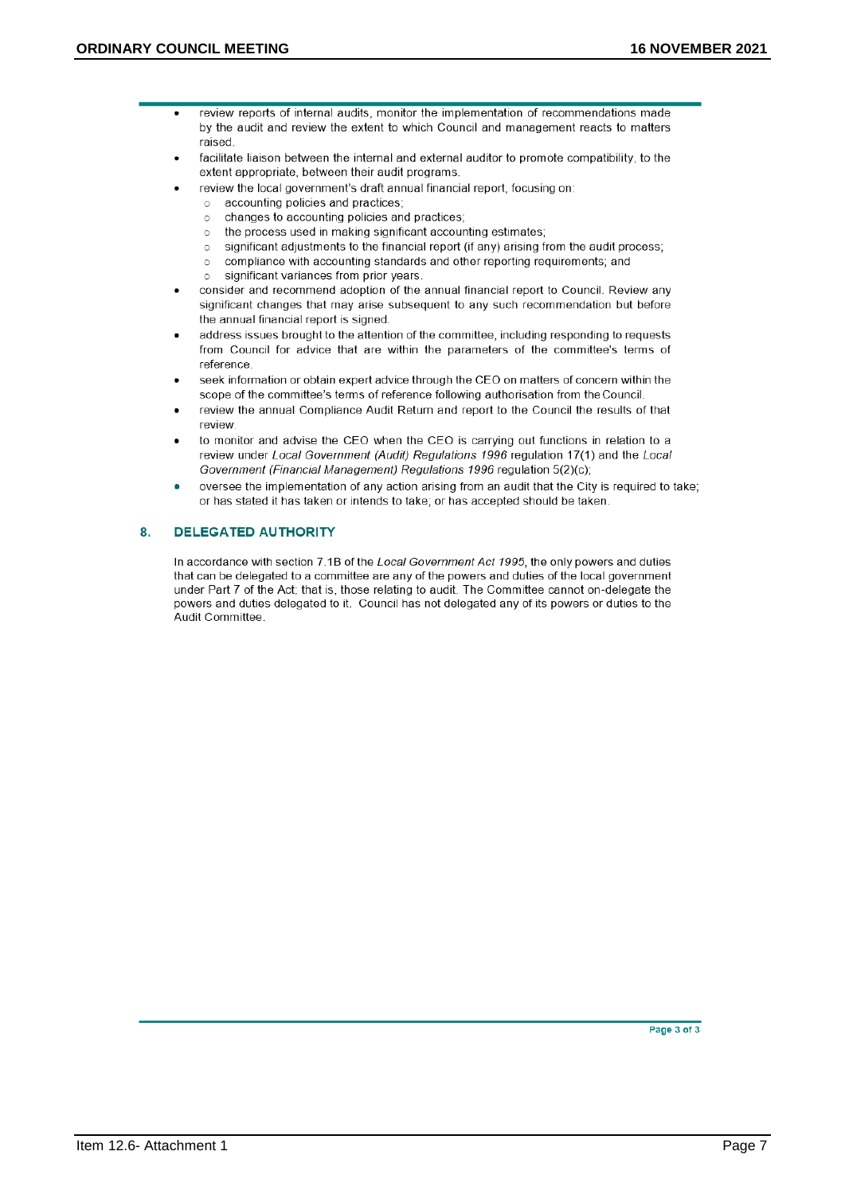- review reports of internal audits, monitor the implementation of recommendations made by the audit and review the extent to which Council and management reacts to matters raised
	- facilitate liaison between the internal and external auditor to promote compatibility, to the extent appropriate, between their audit programs.
	- review the local government's draft annual financial report, focusing on:
		- accounting policies and practices;  $\circ$
		- changes to accounting policies and practices;  $\circ$
		- the process used in making significant accounting estimates:  $\circ$
		- significant adjustments to the financial report (if any) arising from the audit process;  $\circ$
		- compliance with accounting standards and other reporting requirements; and  $\triangle$
		- $\circ$ significant variances from prior years.
	- consider and recommend adoption of the annual financial report to Council. Review any significant changes that may arise subsequent to any such recommendation but before the annual financial report is signed.
- address issues brought to the attention of the committee, including responding to requests from Council for advice that are within the parameters of the committee's terms of reference
- seek information or obtain expert advice through the CEO on matters of concern within the scope of the committee's terms of reference following authorisation from the Council.
- review the annual Compliance Audit Return and report to the Council the results of that review
- to monitor and advise the CEO when the CEO is carrying out functions in relation to a review under Local Government (Audit) Regulations 1996 regulation 17(1) and the Local Government (Financial Management) Regulations 1996 regulation 5(2)(c);
- oversee the implementation of any action arising from an audit that the City is required to take: or has stated it has taken or intends to take; or has accepted should be taken.

### 8. **DELEGATED AUTHORITY**

In accordance with section 7.1B of the Local Government Act 1995, the only powers and duties that can be delegated to a committee are any of the powers and duties of the local government under Part 7 of the Act; that is, those relating to audit. The Committee cannot on-delegate the powers and duties delegated to it. Council has not delegated any of its powers or duties to the Audit Committee.

Page 3 of 3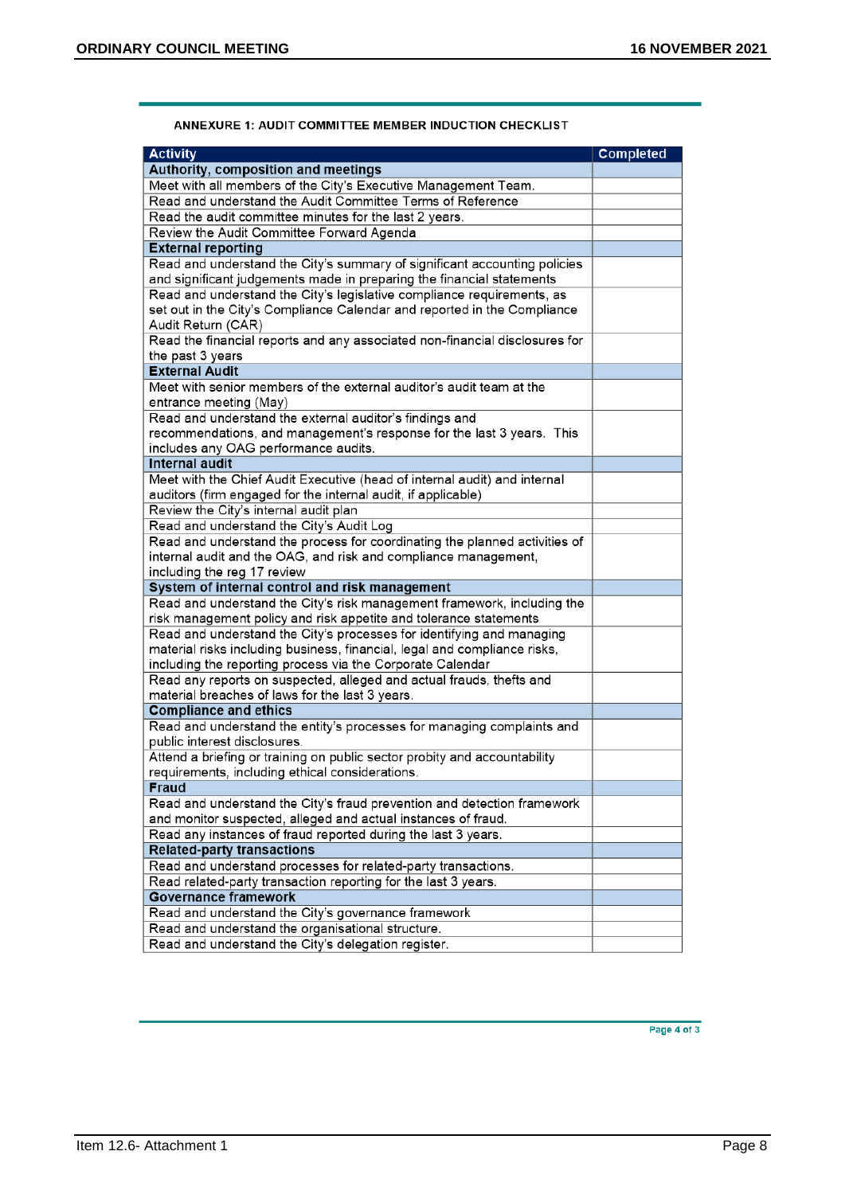| <b>Activity</b>                                                                                                                            |                  |
|--------------------------------------------------------------------------------------------------------------------------------------------|------------------|
|                                                                                                                                            | <b>Completed</b> |
| Authority, composition and meetings<br>Meet with all members of the City's Executive Management Team.                                      |                  |
| Read and understand the Audit Committee Terms of Reference                                                                                 |                  |
| Read the audit committee minutes for the last 2 years.                                                                                     |                  |
|                                                                                                                                            |                  |
| Review the Audit Committee Forward Agenda<br><b>External reporting</b>                                                                     |                  |
| Read and understand the City's summary of significant accounting policies                                                                  |                  |
| and significant judgements made in preparing the financial statements                                                                      |                  |
| Read and understand the City's legislative compliance requirements, as                                                                     |                  |
| set out in the City's Compliance Calendar and reported in the Compliance                                                                   |                  |
| Audit Return (CAR)                                                                                                                         |                  |
| Read the financial reports and any associated non-financial disclosures for                                                                |                  |
| the past 3 years                                                                                                                           |                  |
| <b>External Audit</b>                                                                                                                      |                  |
| Meet with senior members of the external auditor's audit team at the                                                                       |                  |
| entrance meeting (May)                                                                                                                     |                  |
| Read and understand the external auditor's findings and                                                                                    |                  |
| recommendations, and management's response for the last 3 years. This                                                                      |                  |
| includes any OAG performance audits.                                                                                                       |                  |
| <b>Internal audit</b>                                                                                                                      |                  |
| Meet with the Chief Audit Executive (head of internal audit) and internal                                                                  |                  |
| auditors (firm engaged for the internal audit, if applicable)                                                                              |                  |
| Review the City's internal audit plan                                                                                                      |                  |
| Read and understand the City's Audit Log                                                                                                   |                  |
| Read and understand the process for coordinating the planned activities of                                                                 |                  |
| internal audit and the OAG, and risk and compliance management,                                                                            |                  |
| including the reg 17 review                                                                                                                |                  |
| System of internal control and risk management                                                                                             |                  |
| Read and understand the City's risk management framework, including the                                                                    |                  |
| risk management policy and risk appetite and tolerance statements<br>Read and understand the City's processes for identifying and managing |                  |
| material risks including business, financial, legal and compliance risks,                                                                  |                  |
| including the reporting process via the Corporate Calendar                                                                                 |                  |
| Read any reports on suspected, alleged and actual frauds, thefts and                                                                       |                  |
| material breaches of laws for the last 3 years.                                                                                            |                  |
| <b>Compliance and ethics</b>                                                                                                               |                  |
| Read and understand the entity's processes for managing complaints and                                                                     |                  |
| public interest disclosures.                                                                                                               |                  |
| Attend a briefing or training on public sector probity and accountability                                                                  |                  |
| requirements, including ethical considerations.                                                                                            |                  |
| Fraud                                                                                                                                      |                  |
| Read and understand the City's fraud prevention and detection framework                                                                    |                  |
| and monitor suspected, alleged and actual instances of fraud.                                                                              |                  |
| Read any instances of fraud reported during the last 3 years.                                                                              |                  |
| <b>Related-party transactions</b>                                                                                                          |                  |
| Read and understand processes for related-party transactions.                                                                              |                  |
| Read related-party transaction reporting for the last 3 years.                                                                             |                  |
| <b>Governance framework</b>                                                                                                                |                  |
| Read and understand the City's governance framework                                                                                        |                  |
| Read and understand the organisational structure.                                                                                          |                  |
| Read and understand the City's delegation register.                                                                                        |                  |

# ANNEXURE 1: AUDIT COMMITTEE MEMBER INDUCTION CHECKLIST

Page 4 of 3